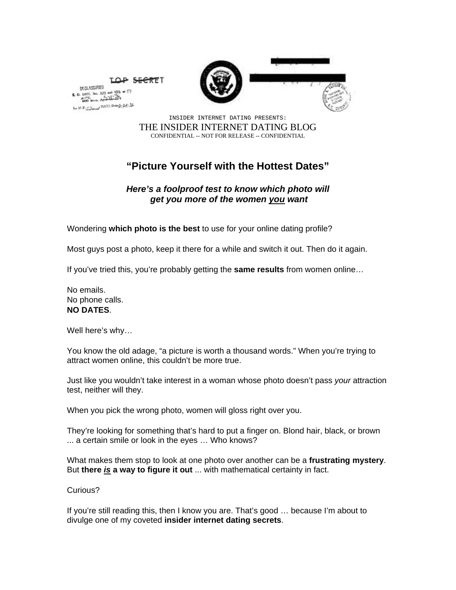

LOP SECRET DIGLASSIFIED **E. O.** 11672. See N13 and  $5(0) = 17$  $rac{11677}{600}$  level  $\frac{1}{200}$  $k_T$  if  $T_1$   $T_2$  =  $\frac{1}{2}$   $\frac{1}{2}$   $\frac{1}{2}$   $\frac{1}{2}$   $\frac{1}{2}$   $\frac{1}{2}$   $\frac{1}{2}$ 

> INSIDER INTERNET DATING PRESENTS: THE INSIDER INTERNET DATING BLOG CONFIDENTIAL -- NOT FOR RELEASE -- CONFIDENTIAL

## **"Picture Yourself with the Hottest Dates"**

## *Here's a foolproof test to know which photo will get you more of the women you want*

Wondering **which photo is the best** to use for your online dating profile?

Most guys post a photo, keep it there for a while and switch it out. Then do it again.

If you've tried this, you're probably getting the **same results** from women online…

No emails. No phone calls. **NO DATES**.

Well here's why…

You know the old adage, "a picture is worth a thousand words." When you're trying to attract women online, this couldn't be more true.

Just like you wouldn't take interest in a woman whose photo doesn't pass *your* attraction test, neither will they.

When you pick the wrong photo, women will gloss right over you.

They're looking for something that's hard to put a finger on. Blond hair, black, or brown ... a certain smile or look in the eyes … Who knows?

What makes them stop to look at one photo over another can be a **frustrating mystery**. But **there** *is* **a way to figure it out** ... with mathematical certainty in fact.

Curious?

If you're still reading this, then I know you are. That's good … because I'm about to divulge one of my coveted **insider internet dating secrets**.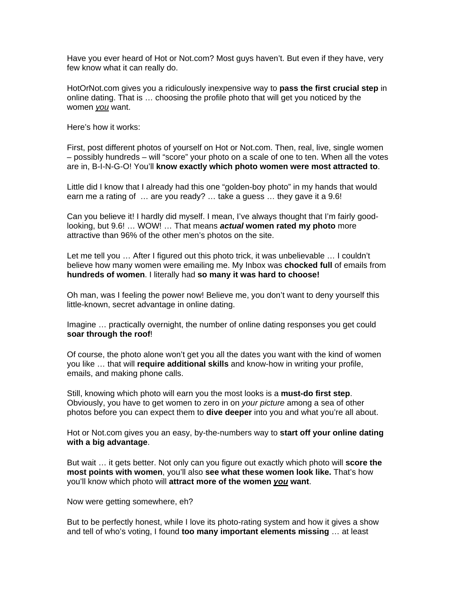Have you ever heard of Hot or Not.com? Most guys haven't. But even if they have, very few know what it can really do.

HotOrNot.com gives you a ridiculously inexpensive way to **pass the first crucial step** in online dating. That is … choosing the profile photo that will get you noticed by the women *you* want.

Here's how it works:

First, post different photos of yourself on Hot or Not.com. Then, real, live, single women – possibly hundreds – will "score" your photo on a scale of one to ten. When all the votes are in, B-I-N-G-O! You'll **know exactly which photo women were most attracted to**.

Little did I know that I already had this one "golden-boy photo" in my hands that would earn me a rating of ... are you ready? ... take a guess ... they gave it a 9.6!

Can you believe it! I hardly did myself. I mean, I've always thought that I'm fairly goodlooking, but 9.6! … WOW! … That means *actual* **women rated my photo** more attractive than 96% of the other men's photos on the site.

Let me tell you … After I figured out this photo trick, it was unbelievable … I couldn't believe how many women were emailing me. My Inbox was **chocked full** of emails from **hundreds of women**. I literally had **so many it was hard to choose!**

Oh man, was I feeling the power now! Believe me, you don't want to deny yourself this little-known, secret advantage in online dating.

Imagine … practically overnight, the number of online dating responses you get could **soar through the roof**!

Of course, the photo alone won't get you all the dates you want with the kind of women you like … that will **require additional skills** and know-how in writing your profile, emails, and making phone calls.

Still, knowing which photo will earn you the most looks is a **must-do first step**. Obviously, you have to get women to zero in on *your picture* among a sea of other photos before you can expect them to **dive deeper** into you and what you're all about.

Hot or Not.com gives you an easy, by-the-numbers way to **start off your online dating with a big advantage**.

But wait … it gets better. Not only can you figure out exactly which photo will **score the most points with women**, you'll also **see what these women look like.** That's how you'll know which photo will **attract more of the women** *you* **want**.

Now were getting somewhere, eh?

But to be perfectly honest, while I love its photo-rating system and how it gives a show and tell of who's voting, I found **too many important elements missing** … at least